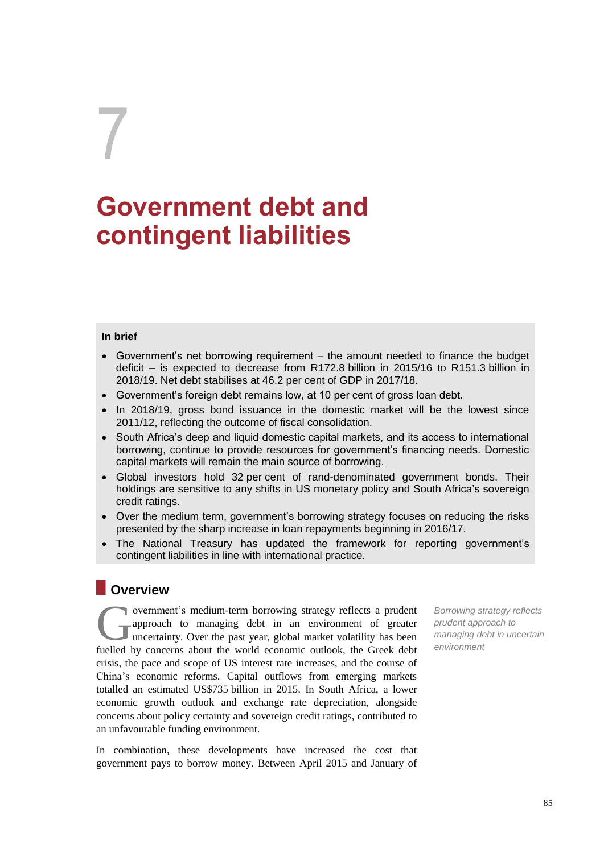# 7

# **Government debt and contingent liabilities**

#### **In brief**

- Government's net borrowing requirement the amount needed to finance the budget deficit – is expected to decrease from R172.8 billion in 2015/16 to R151.3 billion in 2018/19. Net debt stabilises at 46.2 per cent of GDP in 2017/18.
- Government's foreign debt remains low, at 10 per cent of gross loan debt.
- In 2018/19, gross bond issuance in the domestic market will be the lowest since 2011/12, reflecting the outcome of fiscal consolidation.
- South Africa's deep and liquid domestic capital markets, and its access to international borrowing, continue to provide resources for government's financing needs. Domestic capital markets will remain the main source of borrowing.
- Global investors hold 32 per cent of rand-denominated government bonds. Their holdings are sensitive to any shifts in US monetary policy and South Africa's sovereign credit ratings.
- Over the medium term, government's borrowing strategy focuses on reducing the risks presented by the sharp increase in loan repayments beginning in 2016/17.
- The National Treasury has updated the framework for reporting government's contingent liabilities in line with international practice.

### **Overview**

overnment's medium-term borrowing strategy reflects a prudent approach to managing debt in an environment of greater uncertainty. Over the past year, global market volatility has been **fuelled** by concerns about the world economic outlook, the Greek debt fuelled by concerns about the world economic outlook, the Greek debt crisis, the pace and scope of US interest rate increases, and the course of China's economic reforms. Capital outflows from emerging markets totalled an estimated US\$735 billion in 2015. In South Africa, a lower economic growth outlook and exchange rate depreciation, alongside concerns about policy certainty and sovereign credit ratings, contributed to an unfavourable funding environment.

In combination, these developments have increased the cost that government pays to borrow money. Between April 2015 and January of

*Borrowing strategy reflects prudent approach to managing debt in uncertain environment*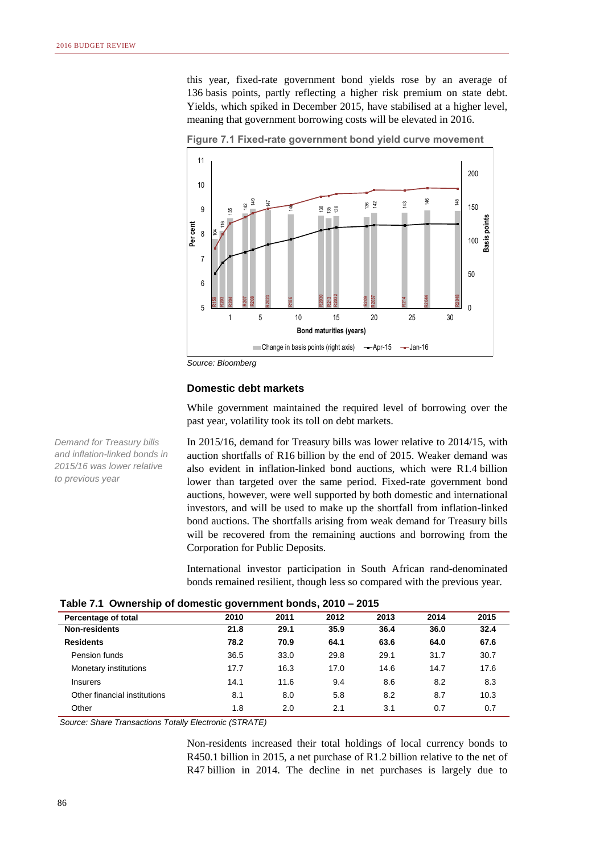this year, fixed-rate government bond yields rose by an average of 136 basis points, partly reflecting a higher risk premium on state debt. Yields, which spiked in December 2015, have stabilised at a higher level, meaning that government borrowing costs will be elevated in 2016.



**Figure 7.1 Fixed-rate government bond yield curve movement**

*Source: Bloomberg*

#### **Domestic debt markets**

While government maintained the required level of borrowing over the past year, volatility took its toll on debt markets.

In 2015/16, demand for Treasury bills was lower relative to 2014/15, with auction shortfalls of R16 billion by the end of 2015. Weaker demand was also evident in inflation-linked bond auctions, which were R1.4 billion lower than targeted over the same period. Fixed-rate government bond auctions, however, were well supported by both domestic and international investors, and will be used to make up the shortfall from inflation-linked bond auctions. The shortfalls arising from weak demand for Treasury bills will be recovered from the remaining auctions and borrowing from the Corporation for Public Deposits.

International investor participation in South African rand-denominated bonds remained resilient, though less so compared with the previous year.

|                              | -    |      |      |      |      |      |  |
|------------------------------|------|------|------|------|------|------|--|
| Percentage of total          | 2010 | 2011 | 2012 | 2013 | 2014 | 2015 |  |
| <b>Non-residents</b>         | 21.8 | 29.1 | 35.9 | 36.4 | 36.0 | 32.4 |  |
| <b>Residents</b>             | 78.2 | 70.9 | 64.1 | 63.6 | 64.0 | 67.6 |  |
| Pension funds                | 36.5 | 33.0 | 29.8 | 29.1 | 31.7 | 30.7 |  |
| Monetary institutions        | 17.7 | 16.3 | 17.0 | 14.6 | 14.7 | 17.6 |  |
| <b>Insurers</b>              | 14.1 | 11.6 | 9.4  | 8.6  | 8.2  | 8.3  |  |
| Other financial institutions | 8.1  | 8.0  | 5.8  | 8.2  | 8.7  | 10.3 |  |
| Other                        | 1.8  | 2.0  | 2.1  | 3.1  | 0.7  | 0.7  |  |
|                              |      |      |      |      |      |      |  |

*Source: Share Transactions Totally Electronic (STRATE)*

Non-residents increased their total holdings of local currency bonds to R450.1 billion in 2015, a net purchase of R1.2 billion relative to the net of

*Demand for Treasury bills and inflation-linked bonds in 2015/16 was lower relative to previous year*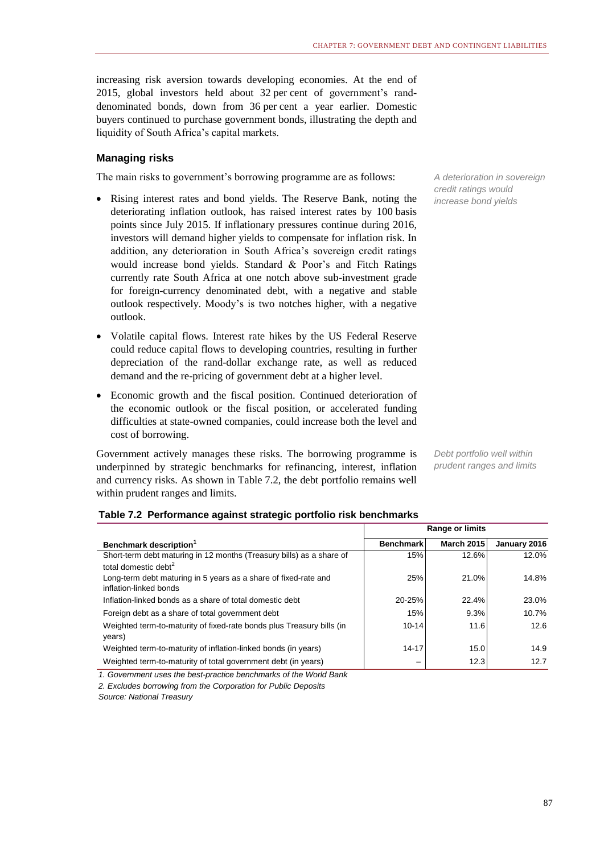increasing risk aversion towards developing economies. At the end of 2015, global investors held about 32 per cent of government's randdenominated bonds, down from 36 per cent a year earlier. Domestic buyers continued to purchase government bonds, illustrating the depth and liquidity of South Africa's capital markets.

#### **Managing risks**

The main risks to government's borrowing programme are as follows:

- Rising interest rates and bond yields. The Reserve Bank, noting the deteriorating inflation outlook, has raised interest rates by 100 basis points since July 2015. If inflationary pressures continue during 2016, investors will demand higher yields to compensate for inflation risk. In addition, any deterioration in South Africa's sovereign credit ratings would increase bond yields. Standard & Poor's and Fitch Ratings currently rate South Africa at one notch above sub-investment grade for foreign-currency denominated debt, with a negative and stable outlook respectively. Moody's is two notches higher, with a negative outlook.
- Volatile capital flows. Interest rate hikes by the US Federal Reserve could reduce capital flows to developing countries, resulting in further depreciation of the rand-dollar exchange rate, as well as reduced demand and the re-pricing of government debt at a higher level.
- Economic growth and the fiscal position. Continued deterioration of the economic outlook or the fiscal position, or accelerated funding difficulties at state-owned companies, could increase both the level and cost of borrowing.

Government actively manages these risks. The borrowing programme is underpinned by strategic benchmarks for refinancing, interest, inflation and currency risks. As shown in Table 7.2, the debt portfolio remains well within prudent ranges and limits.

*A deterioration in sovereign credit ratings would increase bond yields*

*Debt portfolio well within prudent ranges and limits*

|                                                                                                          | Range or limits  |                   |              |  |  |
|----------------------------------------------------------------------------------------------------------|------------------|-------------------|--------------|--|--|
| Benchmark description <sup>1</sup>                                                                       | <b>Benchmark</b> | <b>March 2015</b> | January 2016 |  |  |
| Short-term debt maturing in 12 months (Treasury bills) as a share of<br>total domestic debt <sup>2</sup> | 15%              | 12.6%             | 12.0%        |  |  |
| Long-term debt maturing in 5 years as a share of fixed-rate and<br>inflation-linked bonds                | 25%              | 21.0%             | 14.8%        |  |  |
| Inflation-linked bonds as a share of total domestic debt                                                 | 20-25%           | 22.4%             | 23.0%        |  |  |
| Foreign debt as a share of total government debt                                                         | 15%              | 9.3%              | 10.7%        |  |  |
| Weighted term-to-maturity of fixed-rate bonds plus Treasury bills (in<br>years)                          | $10 - 14$        | 11.6              | 12.6         |  |  |
| Weighted term-to-maturity of inflation-linked bonds (in years)                                           | $14 - 17$        | 15.0              | 14.9         |  |  |
| Weighted term-to-maturity of total government debt (in years)                                            |                  | 12.3              | 12.7         |  |  |

#### **Table 7.2 Performance against strategic portfolio risk benchmarks**

*1. Government uses the best-practice benchmarks of the World Bank*

*2. Excludes borrowing from the Corporation for Public Deposits*

*Source: National Treasury*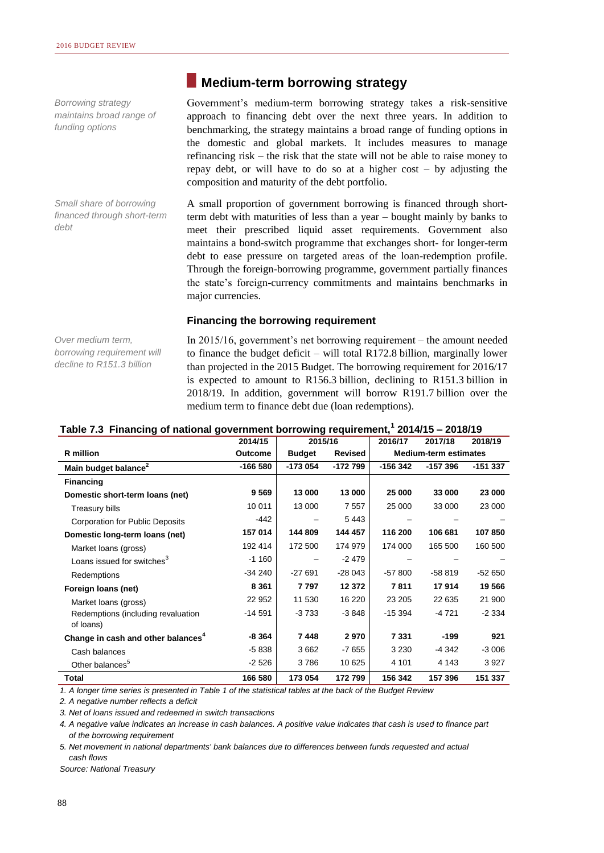*Borrowing strategy maintains broad range of funding options*

*Small share of borrowing financed through short-term debt*

# **Medium-term borrowing strategy**

Government's medium-term borrowing strategy takes a risk-sensitive approach to financing debt over the next three years. In addition to benchmarking, the strategy maintains a broad range of funding options in the domestic and global markets. It includes measures to manage refinancing risk – the risk that the state will not be able to raise money to repay debt, or will have to do so at a higher cost – by adjusting the composition and maturity of the debt portfolio.

A small proportion of government borrowing is financed through shortterm debt with maturities of less than a year – bought mainly by banks to meet their prescribed liquid asset requirements. Government also maintains a bond-switch programme that exchanges short- for longer-term debt to ease pressure on targeted areas of the loan-redemption profile. Through the foreign-borrowing programme, government partially finances the state's foreign-currency commitments and maintains benchmarks in major currencies.

#### **Financing the borrowing requirement**

*Over medium term, borrowing requirement will decline to R151.3 billion*

In 2015/16, government's net borrowing requirement – the amount needed to finance the budget deficit – will total R172.8 billion, marginally lower than projected in the 2015 Budget. The borrowing requirement for 2016/17 is expected to amount to R156.3 billion, declining to R151.3 billion in 2018/19. In addition, government will borrow R191.7 billion over the medium term to finance debt due (loan redemptions).

#### **Table 7.3 Financing of national government borrowing requirement,<sup>1</sup> 2014/15 – 2018/19**

|                                                 | 2014/15        | 2015/16       |                | 2016/17  | 2017/18                      | 2018/19  |
|-------------------------------------------------|----------------|---------------|----------------|----------|------------------------------|----------|
| R million                                       | <b>Outcome</b> | <b>Budget</b> | <b>Revised</b> |          | <b>Medium-term estimates</b> |          |
| Main budget balance <sup>2</sup>                | -166 580       | -173 054      | -172 799       | -156 342 | $-157396$                    | -151 337 |
| <b>Financing</b>                                |                |               |                |          |                              |          |
| Domestic short-term loans (net)                 | 9 5 6 9        | 13 000        | 13 000         | 25 000   | 33 000                       | 23 000   |
| Treasury bills                                  | 10 011         | 13 000        | 7 5 5 7        | 25 000   | 33 000                       | 23 000   |
| <b>Corporation for Public Deposits</b>          | $-442$         |               | 5443           |          |                              |          |
| Domestic long-term loans (net)                  | 157 014        | 144 809       | 144 457        | 116 200  | 106 681                      | 107 850  |
| Market loans (gross)                            | 192 414        | 172 500       | 174 979        | 174 000  | 165 500                      | 160 500  |
| Loans issued for switches <sup>3</sup>          | $-1160$        |               | $-2479$        |          |                              |          |
| Redemptions                                     | $-34240$       | $-27691$      | $-28043$       | $-57800$ | $-58819$                     | $-52650$ |
| Foreign loans (net)                             | 8 3 6 1        | 7797          | 12 372         | 7811     | 17914                        | 19 566   |
| Market loans (gross)                            | 22 952         | 11 530        | 16 220         | 23 205   | 22 635                       | 21 900   |
| Redemptions (including revaluation<br>of loans) | $-14591$       | $-3733$       | $-3848$        | $-15394$ | -4 721                       | $-2334$  |
| Change in cash and other balances <sup>4</sup>  | $-8364$        | 7448          | 2970           | 7 3 3 1  | -199                         | 921      |
| Cash balances                                   | $-5838$        | 3662          | $-7655$        | 3 2 3 0  | -4 342                       | $-3006$  |
| Other balances <sup>5</sup>                     | $-2526$        | 3786          | 10 625         | 4 101    | 4 1 4 3                      | 3927     |
| Total                                           | 166 580        | 173 054       | 172 799        | 156 342  | 157 396                      | 151 337  |

*1. A longer time series is presented in Table 1 of the statistical tables at the back of the Budget Review*

*2. A negative number reflects a deficit*

*3. Net of loans issued and redeemed in switch transactions*

*4. A negative value indicates an increase in cash balances. A positive value indicates that cash is used to finance part of the borrowing requirement*

*5. Net movement in national departments' bank balances due to differences between funds requested and actual cash flows*

*Source: National Treasury*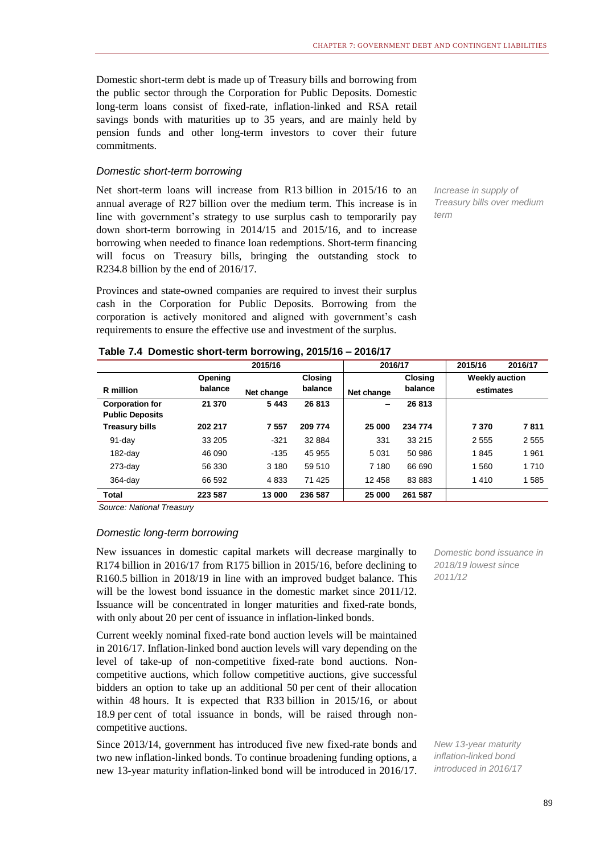Domestic short-term debt is made up of Treasury bills and borrowing from the public sector through the Corporation for Public Deposits. Domestic long-term loans consist of fixed-rate, inflation-linked and RSA retail savings bonds with maturities up to 35 years, and are mainly held by pension funds and other long-term investors to cover their future commitments.

#### *Domestic short-term borrowing*

Net short-term loans will increase from R13 billion in 2015/16 to an annual average of R27 billion over the medium term. This increase is in line with government's strategy to use surplus cash to temporarily pay down short-term borrowing in 2014/15 and 2015/16, and to increase borrowing when needed to finance loan redemptions. Short-term financing will focus on Treasury bills, bringing the outstanding stock to R234.8 billion by the end of 2016/17.

Provinces and state-owned companies are required to invest their surplus cash in the Corporation for Public Deposits. Borrowing from the corporation is actively monitored and aligned with government's cash requirements to ensure the effective use and investment of the surplus.

*Increase in supply of Treasury bills over medium term* 

|                                                  |         | 2015/16    |                | 2016/17    |                | 2015/16               | 2016/17 |
|--------------------------------------------------|---------|------------|----------------|------------|----------------|-----------------------|---------|
|                                                  | Opening |            | <b>Closing</b> |            | <b>Closing</b> | <b>Weekly auction</b> |         |
| R million                                        | balance | Net change | balance        | Net change | balance        | estimates             |         |
| <b>Corporation for</b><br><b>Public Deposits</b> | 21 370  | 5443       | 26 813         | -          | 26813          |                       |         |
| <b>Treasury bills</b>                            | 202 217 | 7557       | 209 774        | 25 000     | 234 774        | 7370                  | 7811    |
| $91$ -day                                        | 33 205  | $-321$     | 32 884         | 331        | 33 215         | 2555                  | 2555    |
| $182$ -day                                       | 46 090  | $-135$     | 45 955         | 5 0 31     | 50 986         | 1845                  | 1961    |
| $273$ -day                                       | 56 330  | 3 1 8 0    | 59 510         | 7 180      | 66 690         | 1560                  | 1 7 1 0 |
| $364$ -day                                       | 66 592  | 4833       | 71 425         | 12 458     | 83 883         | 1410                  | 1585    |
| Total                                            | 223 587 | 13 000     | 236 587        | 25 000     | 261 587        |                       |         |

|  | Table 7.4 Domestic short-term borrowing, 2015/16 - 2016/17 |  |  |  |
|--|------------------------------------------------------------|--|--|--|
|--|------------------------------------------------------------|--|--|--|

*Source: National Treasury*

#### *Domestic long-term borrowing*

New issuances in domestic capital markets will decrease marginally to R174 billion in 2016/17 from R175 billion in 2015/16, before declining to R160.5 billion in 2018/19 in line with an improved budget balance. This will be the lowest bond issuance in the domestic market since 2011/12. Issuance will be concentrated in longer maturities and fixed-rate bonds, with only about 20 per cent of issuance in inflation-linked bonds.

Current weekly nominal fixed-rate bond auction levels will be maintained in 2016/17. Inflation-linked bond auction levels will vary depending on the level of take-up of non-competitive fixed-rate bond auctions. Noncompetitive auctions, which follow competitive auctions, give successful bidders an option to take up an additional 50 per cent of their allocation within 48 hours. It is expected that R33 billion in 2015/16, or about 18.9 per cent of total issuance in bonds, will be raised through noncompetitive auctions.

Since 2013/14, government has introduced five new fixed-rate bonds and two new inflation-linked bonds. To continue broadening funding options, a new 13-year maturity inflation-linked bond will be introduced in 2016/17.

*Domestic bond issuance in 2018/19 lowest since 2011/12*

*New 13-year maturity inflation-linked bond introduced in 2016/17*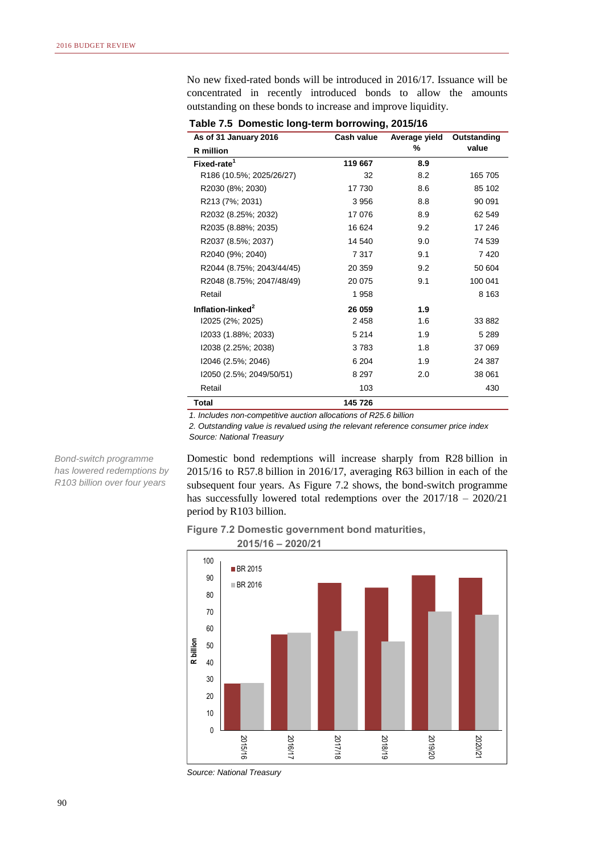No new fixed-rated bonds will be introduced in 2016/17. Issuance will be concentrated in recently introduced bonds to allow the amounts outstanding on these bonds to increase and improve liquidity.

**As of 31 January 2016 R million Fixed-rate<sup>1</sup> 119 667 8.9** R186 (10.5%; 2025/26/27) 32 8.2 165 705 R2030 (8%; 2030) 17 730 8.6 85 102 R213 (7%; 2031) 3 956 8.8 90 091 R2032 (8.25%; 2032) 17 076 8.9 62 549 R2035 (8.88%; 2035) 16 624 9.2 17 246 R2037 (8.5%; 2037) 14 540 9.0 74 539 R2040 (9%; 2040) 7 317 9.1 7 420 R2044 (8.75%; 2043/44/45) 20 359 9.2 50 604 R2048 (8.75%; 2047/48/49) 20 075 9.1 100 041 Retail 1958 **8 163 Inflation-linked<sup>2</sup> 26 059 1.9** I2025 (2%; 2025) 2 458 1.6 33 882 I2033 (1.88%; 2033) 5 214 1.9 5 289 I2038 (2.25%; 2038) 3 783 1.8 37 069 I2046 (2.5%; 2046) 6 204 1.9 24 387 I2050 (2.5%; 2049/50/51) 8 297 2.0 38 061 Retail 103 **430 Total 145 726 Cash value Average yield % Outstanding value**

**Table 7.5 Domestic long-term borrowing, 2015/16**

*1. Includes non-competitive auction allocations of R25.6 billion*

*2. Outstanding value is revalued using the relevant reference consumer price index Source: National Treasury*

*Bond-switch programme has lowered redemptions by R103 billion over four years* 

Domestic bond redemptions will increase sharply from R28 billion in 2015/16 to R57.8 billion in 2016/17, averaging R63 billion in each of the subsequent four years. As Figure 7.2 shows, the bond-switch programme has successfully lowered total redemptions over the 2017/18 – 2020/21 period by R103 billion.

#### **Figure 7.2 Domestic government bond maturities,**



*Source: National Treasury*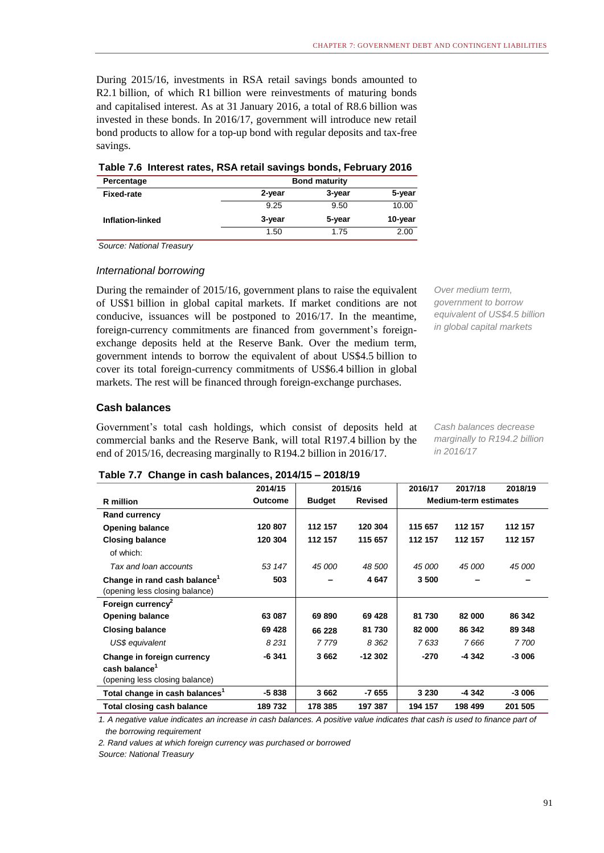During 2015/16, investments in RSA retail savings bonds amounted to R2.1 billion, of which R1 billion were reinvestments of maturing bonds and capitalised interest. As at 31 January 2016, a total of R8.6 billion was invested in these bonds. In 2016/17, government will introduce new retail bond products to allow for a top-up bond with regular deposits and tax-free savings.

| Table 7.6 Interest rates, RSA retail savings bonds, February 2016 |  |  |
|-------------------------------------------------------------------|--|--|
|-------------------------------------------------------------------|--|--|

| Percentage        | <b>Bond maturity</b> |        |         |  |  |  |  |
|-------------------|----------------------|--------|---------|--|--|--|--|
| <b>Fixed-rate</b> | 2-year               | 3-year | 5-year  |  |  |  |  |
|                   | 9.25                 | 9.50   | 10.00   |  |  |  |  |
| Inflation-linked  | 3-year               | 5-year | 10-year |  |  |  |  |
|                   | 1.50                 | 1.75   | 2.00    |  |  |  |  |

*Source: National Treasury*

#### *International borrowing*

During the remainder of 2015/16, government plans to raise the equivalent of US\$1 billion in global capital markets. If market conditions are not conducive, issuances will be postponed to 2016/17. In the meantime, foreign-currency commitments are financed from government's foreignexchange deposits held at the Reserve Bank. Over the medium term, government intends to borrow the equivalent of about US\$4.5 billion to cover its total foreign-currency commitments of US\$6.4 billion in global markets. The rest will be financed through foreign-exchange purchases.

*Over medium term, government to borrow equivalent of US\$4.5 billion in global capital markets*

#### **Cash balances**

Government's total cash holdings, which consist of deposits held at commercial banks and the Reserve Bank, will total R197.4 billion by the end of 2015/16, decreasing marginally to R194.2 billion in 2016/17.

*Cash balances decrease marginally to R194.2 billion in 2016/17*

#### **Table 7.7 Change in cash balances, 2014/15 – 2018/19**

|                                                                                           | 2014/15        | 2015/16       |                | 2016/17                      | 2017/18 | 2018/19 |
|-------------------------------------------------------------------------------------------|----------------|---------------|----------------|------------------------------|---------|---------|
| <b>R</b> million                                                                          | <b>Outcome</b> | <b>Budget</b> | <b>Revised</b> | <b>Medium-term estimates</b> |         |         |
| <b>Rand currency</b>                                                                      |                |               |                |                              |         |         |
| <b>Opening balance</b>                                                                    | 120 807        | 112 157       | 120 304        | 115 657                      | 112 157 | 112 157 |
| <b>Closing balance</b>                                                                    | 120 304        | 112 157       | 115 657        | 112 157                      | 112 157 | 112 157 |
| of which:                                                                                 |                |               |                |                              |         |         |
| Tax and loan accounts                                                                     | 53 147         | 45 000        | 48 500         | 45 000                       | 45 000  | 45 000  |
| Change in rand cash balance <sup>1</sup><br>(opening less closing balance)                | 503            |               | 4647           | 3500                         |         |         |
| Foreign currency <sup>2</sup>                                                             |                |               |                |                              |         |         |
| <b>Opening balance</b>                                                                    | 63 087         | 69890         | 69 4 28        | 81 730                       | 82 000  | 86 342  |
| <b>Closing balance</b>                                                                    | 69 4 28        | 66 228        | 81 730         | 82 000                       | 86 342  | 89 348  |
| US\$ equivalent                                                                           | 8231           | 7779          | 8 3 6 2        | 7633                         | 7666    | 7 700   |
| Change in foreign currency<br>cash balance <sup>1</sup><br>(opening less closing balance) | -6 341         | 3662          | $-12302$       | $-270$                       | -4 342  | $-3006$ |
| Total change in cash balances <sup>1</sup>                                                | $-5838$        | 3662          | -7 655         | 3 2 3 0                      | -4 342  | $-3006$ |
| Total closing cash balance                                                                | 189732         | 178 385       | 197 387        | 194 157                      | 198 499 | 201 505 |

*1. A negative value indicates an increase in cash balances. A positive value indicates that cash is used to finance part of the borrowing requirement*

*2. Rand values at which foreign currency was purchased or borrowed*

*Source: National Treasury*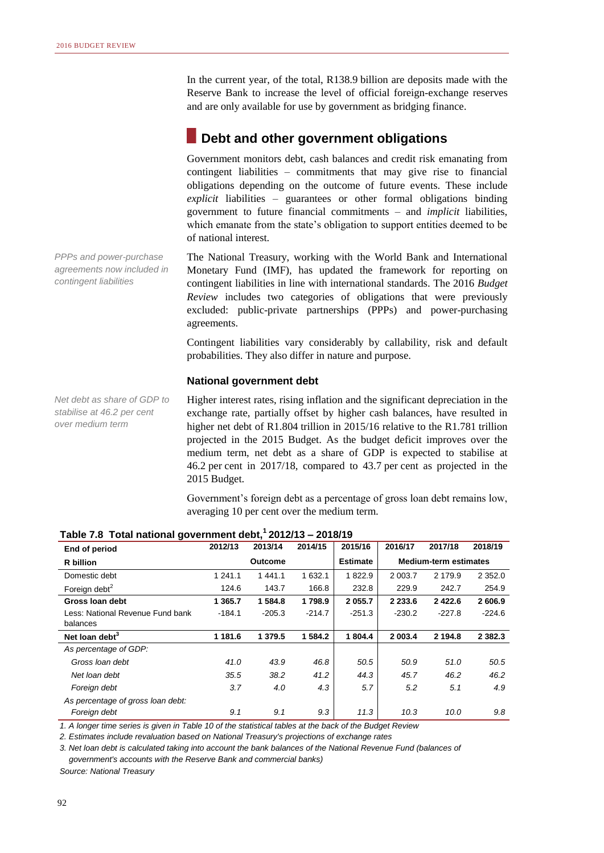In the current year, of the total, R138.9 billion are deposits made with the Reserve Bank to increase the level of official foreign-exchange reserves and are only available for use by government as bridging finance.

## **Debt and other government obligations**

Government monitors debt, cash balances and credit risk emanating from contingent liabilities – commitments that may give rise to financial obligations depending on the outcome of future events. These include *explicit* liabilities – guarantees or other formal obligations binding government to future financial commitments – and *implicit* liabilities, which emanate from the state's obligation to support entities deemed to be of national interest.

The National Treasury, working with the World Bank and International Monetary Fund (IMF), has updated the framework for reporting on contingent liabilities in line with international standards. The 2016 *Budget Review* includes two categories of obligations that were previously excluded: public-private partnerships (PPPs) and power-purchasing agreements.

Contingent liabilities vary considerably by callability, risk and default probabilities. They also differ in nature and purpose.

#### **National government debt**

Higher interest rates, rising inflation and the significant depreciation in the exchange rate, partially offset by higher cash balances, have resulted in higher net debt of R1.804 trillion in 2015/16 relative to the R1.781 trillion projected in the 2015 Budget. As the budget deficit improves over the medium term, net debt as a share of GDP is expected to stabilise at 46.2 per cent in 2017/18, compared to 43.7 per cent as projected in the 2015 Budget.

Government's foreign debt as a percentage of gross loan debt remains low, averaging 10 per cent over the medium term.

| End of period                     | 2012/13   | 2013/14        | 2014/15  | 2015/16         | 2016/17     | 2017/18                      | 2018/19     |  |  |
|-----------------------------------|-----------|----------------|----------|-----------------|-------------|------------------------------|-------------|--|--|
| R billion                         |           | <b>Outcome</b> |          | <b>Estimate</b> |             | <b>Medium-term estimates</b> |             |  |  |
| Domestic debt                     | 1 241.1   | 1441.1         | 1 632.1  | 1822.9          | 2 003.7     | 2 179.9                      | 2 3 5 2 .0  |  |  |
| Foreign debt <sup>2</sup>         | 124.6     | 143.7          | 166.8    | 232.8           | 229.9       | 242.7                        | 254.9       |  |  |
| Gross Ioan debt                   | 1 3 6 5.7 | 1 584.8        | 1798.9   | 2 0 5 5.7       | 2 2 3 3 . 6 | 2 4 2 2.6                    | 2 606.9     |  |  |
| Less: National Revenue Fund bank  | $-184.1$  | $-205.3$       | $-214.7$ | $-251.3$        | $-230.2$    | $-227.8$                     | $-224.6$    |  |  |
| balances                          |           |                |          |                 |             |                              |             |  |  |
| Net loan debt $3$                 | 1 181.6   | 1 379.5        | 1 584.2  | 1 804.4         | 2 003.4     | 2 194.8                      | 2 3 8 2 . 3 |  |  |
| As percentage of GDP:             |           |                |          |                 |             |                              |             |  |  |
| Gross loan debt                   | 41.0      | 43.9           | 46.8     | 50.5            | 50.9        | 51.0                         | 50.5        |  |  |
| Net loan debt                     | 35.5      | 38.2           | 41.2     | 44.3            | 45.7        | 46.2                         | 46.2        |  |  |
| Foreign debt                      | 3.7       | 4.0            | 4.3      | 5.7             | 5.2         | 5.1                          | 4.9         |  |  |
| As percentage of gross loan debt: |           |                |          |                 |             |                              |             |  |  |
| Foreign debt                      | 9.1       | 9.1            | 9.3      | 11.3            | 10.3        | 10.0                         | 9.8         |  |  |

**Table 7.8 Total national government debt,<sup>1</sup>2012/13 – 2018/19**

*1. A longer time series is given in Table 10 of the statistical tables at the back of the Budget Review*

*2. Estimates include revaluation based on National Treasury's projections of exchange rates*

*3. Net loan debt is calculated taking into account the bank balances of the National Revenue Fund (balances of government's accounts with the Reserve Bank and commercial banks)*

*Source: National Treasury*

*PPPs and power-purchase agreements now included in contingent liabilities*

*Net debt as share of GDP to stabilise at 46.2 per cent over medium term*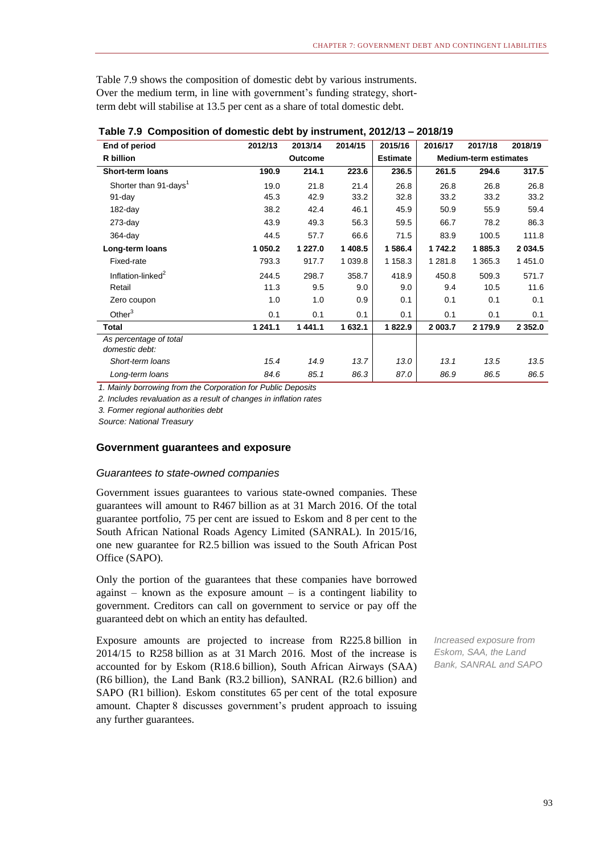Table 7.9 shows the composition of domestic debt by various instruments. Over the medium term, in line with government's funding strategy, shortterm debt will stabilise at 13.5 per cent as a share of total domestic debt.

| End of period                            | 2012/13 | 2013/14        | 2014/15   | 2015/16         | 2016/17 | 2017/18                      | 2018/19    |  |
|------------------------------------------|---------|----------------|-----------|-----------------|---------|------------------------------|------------|--|
| R billion                                |         | <b>Outcome</b> |           | <b>Estimate</b> |         | <b>Medium-term estimates</b> |            |  |
| <b>Short-term loans</b>                  | 190.9   | 214.1          | 223.6     | 236.5           | 261.5   | 294.6                        | 317.5      |  |
| Shorter than 91-days <sup>1</sup>        | 19.0    | 21.8           | 21.4      | 26.8            | 26.8    | 26.8                         | 26.8       |  |
| 91-day                                   | 45.3    | 42.9           | 33.2      | 32.8            | 33.2    | 33.2                         | 33.2       |  |
| $182$ -day                               | 38.2    | 42.4           | 46.1      | 45.9            | 50.9    | 55.9                         | 59.4       |  |
| $273$ -day                               | 43.9    | 49.3           | 56.3      | 59.5            | 66.7    | 78.2                         | 86.3       |  |
| $364$ -day                               | 44.5    | 57.7           | 66.6      | 71.5            | 83.9    | 100.5                        | 111.8      |  |
| Long-term loans                          | 1 050.2 | 1 227.0        | 1 408.5   | 1 586.4         | 1742.2  | 1885.3                       | 2 0 3 4 .5 |  |
| Fixed-rate                               | 793.3   | 917.7          | 1 0 3 9.8 | 1 158.3         | 1 281.8 | 1 365.3                      | 1451.0     |  |
| Inflation-linked <sup>2</sup>            | 244.5   | 298.7          | 358.7     | 418.9           | 450.8   | 509.3                        | 571.7      |  |
| Retail                                   | 11.3    | 9.5            | 9.0       | 9.0             | 9.4     | 10.5                         | 11.6       |  |
| Zero coupon                              | 1.0     | 1.0            | 0.9       | 0.1             | 0.1     | 0.1                          | 0.1        |  |
| Other $3$                                | 0.1     | 0.1            | 0.1       | 0.1             | 0.1     | 0.1                          | 0.1        |  |
| Total                                    | 1 241.1 | 1441.1         | 1 632.1   | 1822.9          | 2 003.7 | 2 179.9                      | 2 3 5 2 .0 |  |
| As percentage of total<br>domestic debt: |         |                |           |                 |         |                              |            |  |
| Short-term loans                         | 15.4    | 14.9           | 13.7      | 13.0            | 13.1    | 13.5                         | 13.5       |  |
| Long-term loans                          | 84.6    | 85.1           | 86.3      | 87.0            | 86.9    | 86.5                         | 86.5       |  |

#### **Table 7.9 Composition of domestic debt by instrument, 2012/13 – 2018/19**

*1. Mainly borrowing from the Corporation for Public Deposits*

*2. Includes revaluation as a result of changes in inflation rates*

*3. Former regional authorities debt*

*Source: National Treasury*

#### **Government guarantees and exposure**

#### *Guarantees to state-owned companies*

Government issues guarantees to various state-owned companies. These guarantees will amount to R467 billion as at 31 March 2016. Of the total guarantee portfolio, 75 per cent are issued to Eskom and 8 per cent to the South African National Roads Agency Limited (SANRAL). In 2015/16, one new guarantee for R2.5 billion was issued to the South African Post Office (SAPO).

Only the portion of the guarantees that these companies have borrowed against  $-$  known as the exposure amount  $-$  is a contingent liability to government. Creditors can call on government to service or pay off the guaranteed debt on which an entity has defaulted.

Exposure amounts are projected to increase from R225.8 billion in 2014/15 to R258 billion as at 31 March 2016. Most of the increase is accounted for by Eskom (R18.6 billion), South African Airways (SAA) (R6 billion), the Land Bank (R3.2 billion), SANRAL (R2.6 billion) and SAPO (R1 billion). Eskom constitutes 65 per cent of the total exposure amount. Chapter 8 discusses government's prudent approach to issuing any further guarantees.

*Increased exposure from Eskom, SAA, the Land Bank, SANRAL and SAPO*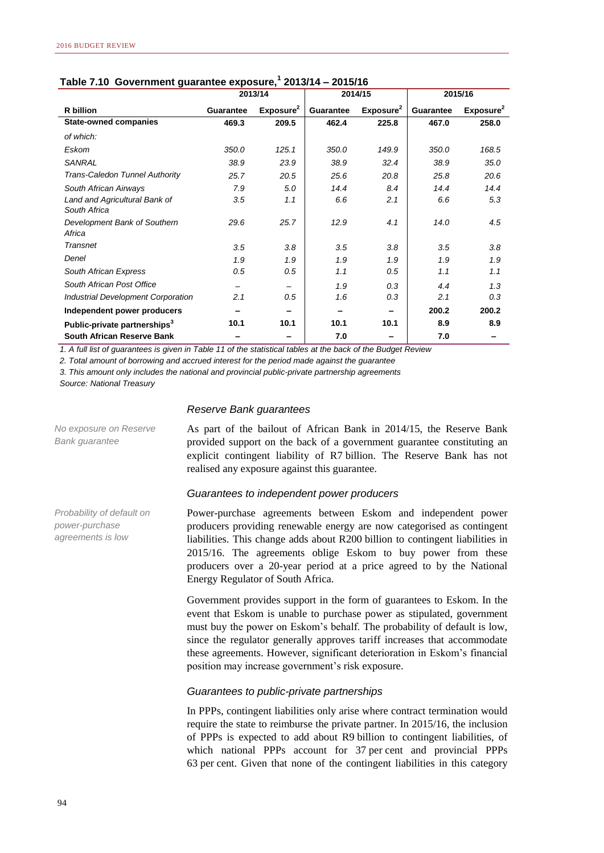|                                               | Table 7.10 Government guarantee exposure, 2013/14 = 2013/16<br>2013/14<br>2014/15 |                       |           |                       |                  |                       |  |  |  |  |  |
|-----------------------------------------------|-----------------------------------------------------------------------------------|-----------------------|-----------|-----------------------|------------------|-----------------------|--|--|--|--|--|
|                                               |                                                                                   |                       |           |                       |                  | 2015/16               |  |  |  |  |  |
| R billion                                     | <b>Guarantee</b>                                                                  | Exposure <sup>2</sup> | Guarantee | Exposure <sup>2</sup> | <b>Guarantee</b> | Exposure <sup>2</sup> |  |  |  |  |  |
| <b>State-owned companies</b>                  | 469.3                                                                             | 209.5                 | 462.4     | 225.8                 | 467.0            | 258.0                 |  |  |  |  |  |
| of which:                                     |                                                                                   |                       |           |                       |                  |                       |  |  |  |  |  |
| Eskom                                         | 350.0                                                                             | 125.1                 | 350.0     | 149.9                 | 350.0            | 168.5                 |  |  |  |  |  |
| <b>SANRAL</b>                                 | 38.9                                                                              | 23.9                  | 38.9      | 32.4                  | 38.9             | 35.0                  |  |  |  |  |  |
| Trans-Caledon Tunnel Authority                | 25.7                                                                              | 20.5                  | 25.6      | 20.8                  | 25.8             | 20.6                  |  |  |  |  |  |
| South African Airways                         | 7.9                                                                               | 5.0                   | 14.4      | 8.4                   | 14.4             | 14.4                  |  |  |  |  |  |
| Land and Agricultural Bank of<br>South Africa | 3.5                                                                               | 1.1                   | 6.6       | 2.1                   | 6.6              | 5.3                   |  |  |  |  |  |
| Development Bank of Southern<br>Africa        | 29.6                                                                              | 25.7                  | 12.9      | 4.1                   | 14.0             | 4.5                   |  |  |  |  |  |
| Transnet                                      | 3.5                                                                               | 3.8                   | 3.5       | 3.8                   | 3.5              | 3.8                   |  |  |  |  |  |
| Denel                                         | 1.9                                                                               | 1.9                   | 1.9       | 1.9                   | 1.9              | 1.9                   |  |  |  |  |  |
| South African Express                         | 0.5                                                                               | 0.5                   | 1.1       | 0.5                   | 1.1              | 1.1                   |  |  |  |  |  |
| South African Post Office                     |                                                                                   |                       | 1.9       | 0.3                   | 4.4              | 1.3                   |  |  |  |  |  |
| <b>Industrial Development Corporation</b>     | 2.1                                                                               | 0.5                   | 1.6       | 0.3                   | 2.1              | 0.3                   |  |  |  |  |  |
| Independent power producers                   |                                                                                   |                       |           |                       | 200.2            | 200.2                 |  |  |  |  |  |
| Public-private partnerships <sup>3</sup>      | 10.1                                                                              | 10.1                  | 10.1      | 10.1                  | 8.9              | 8.9                   |  |  |  |  |  |
| South African Reserve Bank                    |                                                                                   |                       | 7.0       |                       | 7.0              |                       |  |  |  |  |  |

#### **Table 7.10 Government guarantee exposure,<sup>1</sup> 2013/14 – 2015/16**

*1. A full list of guarantees is given in Table 11 of the statistical tables at the back of the Budget Review*

*2. Total amount of borrowing and accrued interest for the period made against the guarantee*

*3. This amount only includes the national and provincial public-private partnership agreements*

*Source: National Treasury*

#### *Reserve Bank guarantees*

*No exposure on Reserve Bank guarantee*

As part of the bailout of African Bank in 2014/15, the Reserve Bank provided support on the back of a government guarantee constituting an explicit contingent liability of R7 billion. The Reserve Bank has not realised any exposure against this guarantee.

#### *Guarantees to independent power producers*

*Probability of default on power-purchase agreements is low*

Power-purchase agreements between Eskom and independent power producers providing renewable energy are now categorised as contingent liabilities. This change adds about R200 billion to contingent liabilities in 2015/16. The agreements oblige Eskom to buy power from these producers over a 20-year period at a price agreed to by the National Energy Regulator of South Africa.

Government provides support in the form of guarantees to Eskom. In the event that Eskom is unable to purchase power as stipulated, government must buy the power on Eskom's behalf. The probability of default is low, since the regulator generally approves tariff increases that accommodate these agreements. However, significant deterioration in Eskom's financial position may increase government's risk exposure.

#### *Guarantees to public-private partnerships*

In PPPs, contingent liabilities only arise where contract termination would require the state to reimburse the private partner. In 2015/16, the inclusion of PPPs is expected to add about R9 billion to contingent liabilities, of which national PPPs account for 37 per cent and provincial PPPs 63 per cent. Given that none of the contingent liabilities in this category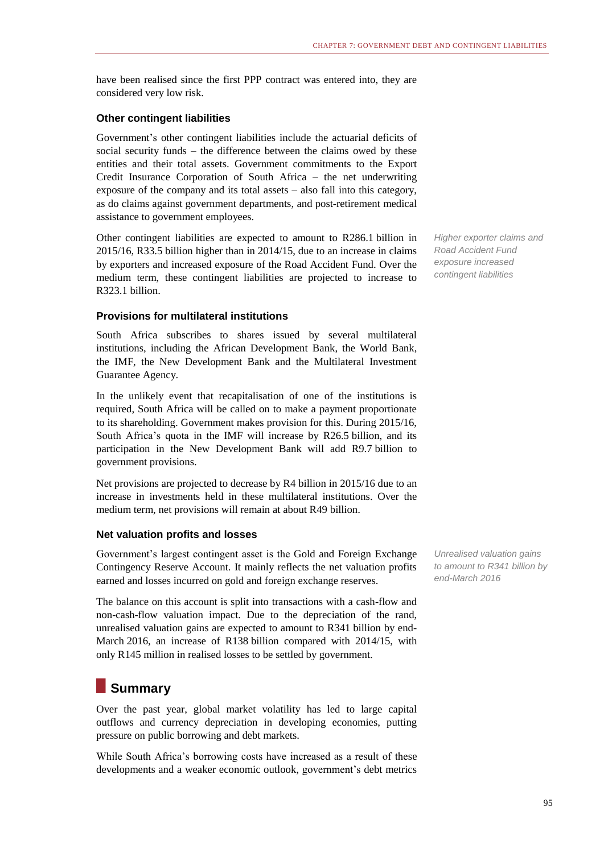have been realised since the first PPP contract was entered into, they are considered very low risk.

#### **Other contingent liabilities**

Government's other contingent liabilities include the actuarial deficits of social security funds – the difference between the claims owed by these entities and their total assets. Government commitments to the Export Credit Insurance Corporation of South Africa – the net underwriting exposure of the company and its total assets – also fall into this category, as do claims against government departments, and post-retirement medical assistance to government employees.

Other contingent liabilities are expected to amount to R286.1 billion in 2015/16, R33.5 billion higher than in 2014/15, due to an increase in claims by exporters and increased exposure of the Road Accident Fund. Over the medium term, these contingent liabilities are projected to increase to R323.1 billion.

#### **Provisions for multilateral institutions**

South Africa subscribes to shares issued by several multilateral institutions, including the African Development Bank, the World Bank, the IMF, the New Development Bank and the Multilateral Investment Guarantee Agency.

In the unlikely event that recapitalisation of one of the institutions is required, South Africa will be called on to make a payment proportionate to its shareholding. Government makes provision for this. During 2015/16, South Africa's quota in the IMF will increase by R26.5 billion, and its participation in the New Development Bank will add R9.7 billion to government provisions.

Net provisions are projected to decrease by R4 billion in 2015/16 due to an increase in investments held in these multilateral institutions. Over the medium term, net provisions will remain at about R49 billion.

#### **Net valuation profits and losses**

Government's largest contingent asset is the Gold and Foreign Exchange Contingency Reserve Account. It mainly reflects the net valuation profits earned and losses incurred on gold and foreign exchange reserves.

The balance on this account is split into transactions with a cash-flow and non-cash-flow valuation impact. Due to the depreciation of the rand, unrealised valuation gains are expected to amount to R341 billion by end-March 2016, an increase of R138 billion compared with 2014/15, with only R145 million in realised losses to be settled by government.

# **Summary**

Over the past year, global market volatility has led to large capital outflows and currency depreciation in developing economies, putting pressure on public borrowing and debt markets.

While South Africa's borrowing costs have increased as a result of these developments and a weaker economic outlook, government's debt metrics

*Higher exporter claims and Road Accident Fund exposure increased contingent liabilities*

*Unrealised valuation gains to amount to R341 billion by end-March 2016*